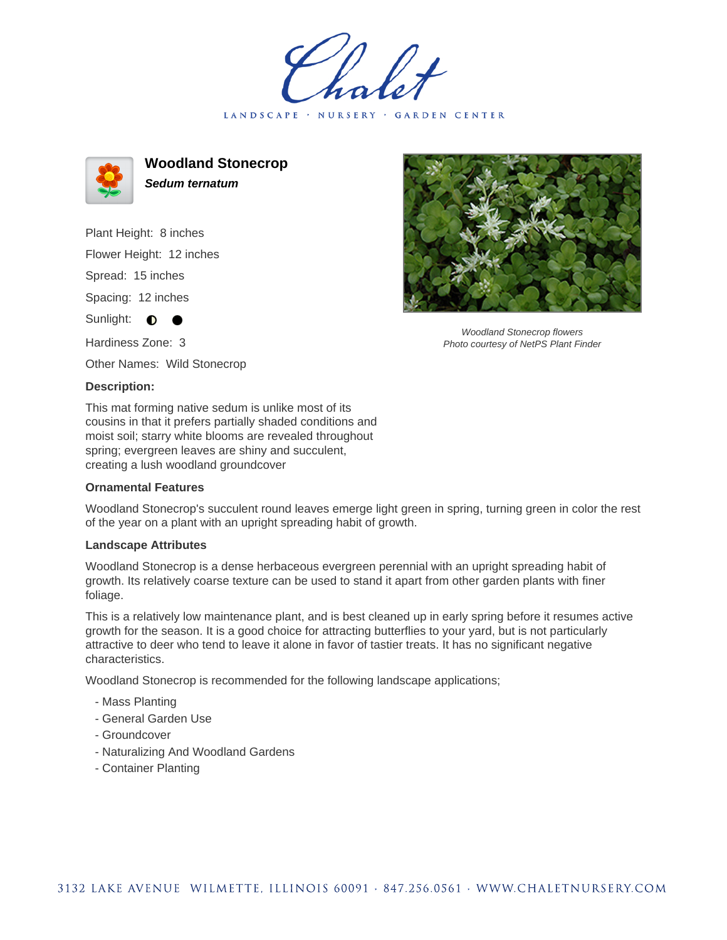LANDSCAPE · NURSERY · GARDEN CENTER



**Woodland Stonecrop Sedum ternatum**

Plant Height: 8 inches Flower Height: 12 inches Spread: 15 inches Spacing: 12 inches Sunlight:  $\bullet$ Hardiness Zone: 3

Other Names: Wild Stonecrop

## **Description:**

This mat forming native sedum is unlike most of its cousins in that it prefers partially shaded conditions and moist soil; starry white blooms are revealed throughout spring; evergreen leaves are shiny and succulent, creating a lush woodland groundcover

## **Ornamental Features**

Woodland Stonecrop's succulent round leaves emerge light green in spring, turning green in color the rest of the year on a plant with an upright spreading habit of growth.

## **Landscape Attributes**

Woodland Stonecrop is a dense herbaceous evergreen perennial with an upright spreading habit of growth. Its relatively coarse texture can be used to stand it apart from other garden plants with finer foliage.

This is a relatively low maintenance plant, and is best cleaned up in early spring before it resumes active growth for the season. It is a good choice for attracting butterflies to your yard, but is not particularly attractive to deer who tend to leave it alone in favor of tastier treats. It has no significant negative characteristics.

Woodland Stonecrop is recommended for the following landscape applications;

- Mass Planting
- General Garden Use
- Groundcover
- Naturalizing And Woodland Gardens
- Container Planting



Woodland Stonecrop flowers Photo courtesy of NetPS Plant Finder